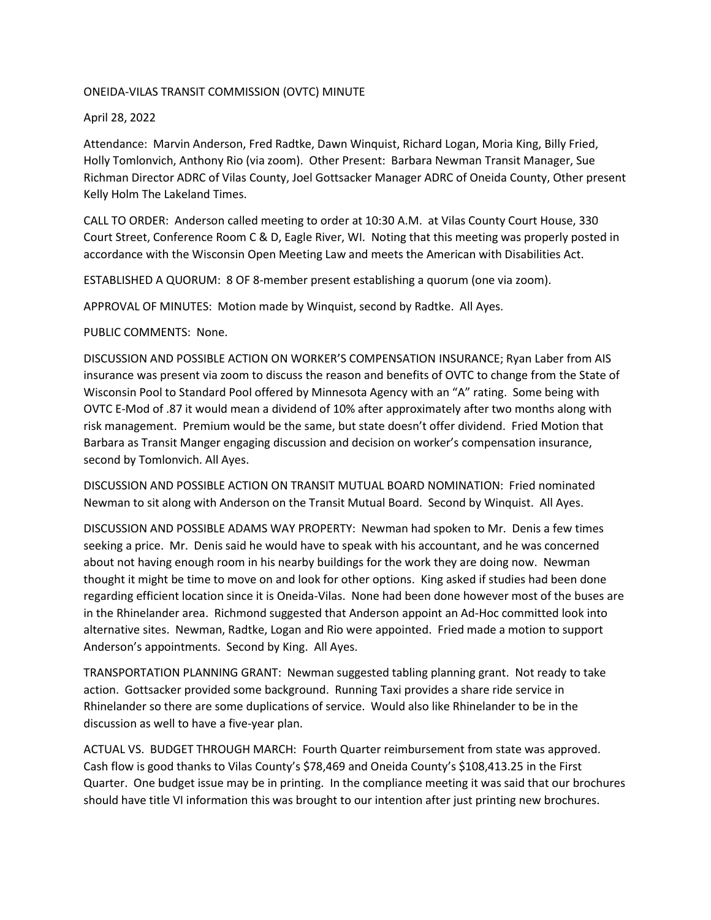## ONEIDA-VILAS TRANSIT COMMISSION (OVTC) MINUTE

## April 28, 2022

Attendance: Marvin Anderson, Fred Radtke, Dawn Winquist, Richard Logan, Moria King, Billy Fried, Holly Tomlonvich, Anthony Rio (via zoom). Other Present: Barbara Newman Transit Manager, Sue Richman Director ADRC of Vilas County, Joel Gottsacker Manager ADRC of Oneida County, Other present Kelly Holm The Lakeland Times.

CALL TO ORDER: Anderson called meeting to order at 10:30 A.M. at Vilas County Court House, 330 Court Street, Conference Room C & D, Eagle River, WI. Noting that this meeting was properly posted in accordance with the Wisconsin Open Meeting Law and meets the American with Disabilities Act.

ESTABLISHED A QUORUM: 8 OF 8-member present establishing a quorum (one via zoom).

APPROVAL OF MINUTES: Motion made by Winquist, second by Radtke. All Ayes.

PUBLIC COMMENTS: None.

DISCUSSION AND POSSIBLE ACTION ON WORKER'S COMPENSATION INSURANCE; Ryan Laber from AIS insurance was present via zoom to discuss the reason and benefits of OVTC to change from the State of Wisconsin Pool to Standard Pool offered by Minnesota Agency with an "A" rating. Some being with OVTC E-Mod of .87 it would mean a dividend of 10% after approximately after two months along with risk management. Premium would be the same, but state doesn't offer dividend. Fried Motion that Barbara as Transit Manger engaging discussion and decision on worker's compensation insurance, second by Tomlonvich. All Ayes.

DISCUSSION AND POSSIBLE ACTION ON TRANSIT MUTUAL BOARD NOMINATION: Fried nominated Newman to sit along with Anderson on the Transit Mutual Board. Second by Winquist. All Ayes.

DISCUSSION AND POSSIBLE ADAMS WAY PROPERTY: Newman had spoken to Mr. Denis a few times seeking a price. Mr. Denis said he would have to speak with his accountant, and he was concerned about not having enough room in his nearby buildings for the work they are doing now. Newman thought it might be time to move on and look for other options. King asked if studies had been done regarding efficient location since it is Oneida-Vilas. None had been done however most of the buses are in the Rhinelander area. Richmond suggested that Anderson appoint an Ad-Hoc committed look into alternative sites. Newman, Radtke, Logan and Rio were appointed. Fried made a motion to support Anderson's appointments. Second by King. All Ayes.

TRANSPORTATION PLANNING GRANT: Newman suggested tabling planning grant. Not ready to take action. Gottsacker provided some background. Running Taxi provides a share ride service in Rhinelander so there are some duplications of service. Would also like Rhinelander to be in the discussion as well to have a five-year plan.

ACTUAL VS. BUDGET THROUGH MARCH: Fourth Quarter reimbursement from state was approved. Cash flow is good thanks to Vilas County's \$78,469 and Oneida County's \$108,413.25 in the First Quarter. One budget issue may be in printing. In the compliance meeting it was said that our brochures should have title VI information this was brought to our intention after just printing new brochures.